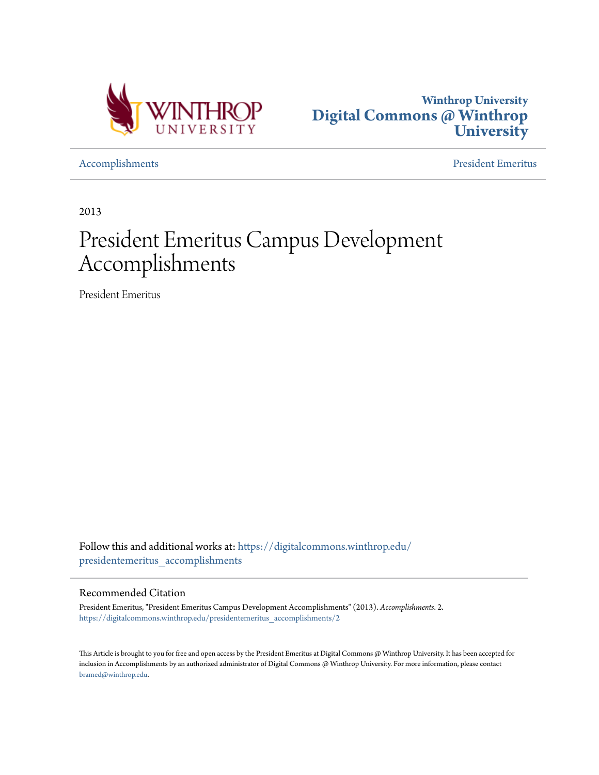



[Accomplishments](https://digitalcommons.winthrop.edu/presidentemeritus_accomplishments?utm_source=digitalcommons.winthrop.edu%2Fpresidentemeritus_accomplishments%2F2&utm_medium=PDF&utm_campaign=PDFCoverPages) [President Emeritus](https://digitalcommons.winthrop.edu/presidentemeritus?utm_source=digitalcommons.winthrop.edu%2Fpresidentemeritus_accomplishments%2F2&utm_medium=PDF&utm_campaign=PDFCoverPages)

2013

## President Emeritus Campus Development Accomplishments

President Emeritus

Follow this and additional works at: [https://digitalcommons.winthrop.edu/](https://digitalcommons.winthrop.edu/presidentemeritus_accomplishments?utm_source=digitalcommons.winthrop.edu%2Fpresidentemeritus_accomplishments%2F2&utm_medium=PDF&utm_campaign=PDFCoverPages) [presidentemeritus\\_accomplishments](https://digitalcommons.winthrop.edu/presidentemeritus_accomplishments?utm_source=digitalcommons.winthrop.edu%2Fpresidentemeritus_accomplishments%2F2&utm_medium=PDF&utm_campaign=PDFCoverPages)

## Recommended Citation

President Emeritus, "President Emeritus Campus Development Accomplishments" (2013). *Accomplishments*. 2. [https://digitalcommons.winthrop.edu/presidentemeritus\\_accomplishments/2](https://digitalcommons.winthrop.edu/presidentemeritus_accomplishments/2?utm_source=digitalcommons.winthrop.edu%2Fpresidentemeritus_accomplishments%2F2&utm_medium=PDF&utm_campaign=PDFCoverPages)

This Article is brought to you for free and open access by the President Emeritus at Digital Commons @ Winthrop University. It has been accepted for inclusion in Accomplishments by an authorized administrator of Digital Commons @ Winthrop University. For more information, please contact [bramed@winthrop.edu.](mailto:bramed@winthrop.edu)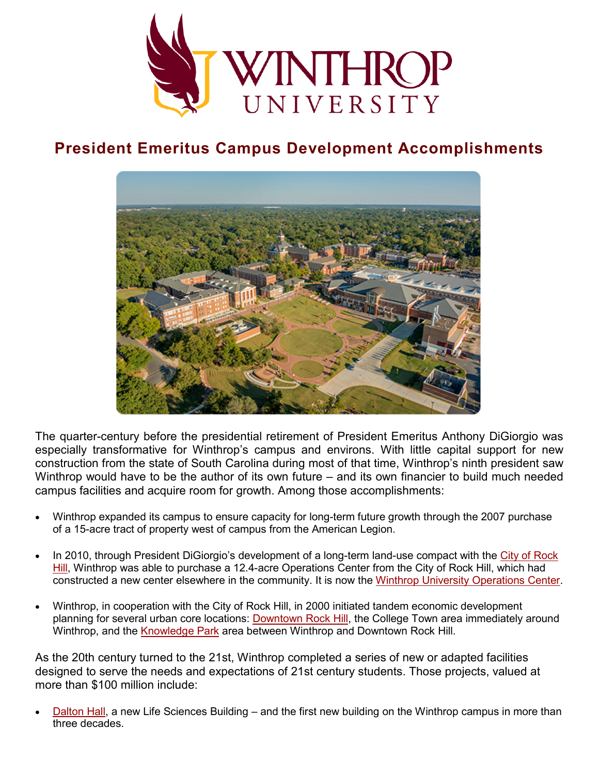

## **President Emeritus Campus Development Accomplishments**



The quarter-century before the presidential retirement of President Emeritus Anthony DiGiorgio was especially transformative for Winthrop's campus and environs. With little capital support for new construction from the state of South Carolina during most of that time, Winthrop's ninth president saw Winthrop would have to be the author of its own future – and its own financier to build much needed campus facilities and acquire room for growth. Among those accomplishments:

- Winthrop expanded its campus to ensure capacity for long-term future growth through the 2007 purchase of a 15-acre tract of property west of campus from the American Legion.
- In 2010, through President DiGiorgio's development of a long-term land-use compact with the [City of Rock](http://www.cityofrockhill.com/)  [Hill,](http://www.cityofrockhill.com/) Winthrop was able to purchase a 12.4-acre Operations Center from the City of Rock Hill, which had constructed a new center elsewhere in the community. It is now the [Winthrop University Operations Center.](https://www.winthrop.edu/virtualtour/buildingtour.aspx?id=8212)
- Winthrop, in cooperation with the City of Rock Hill, in 2000 initiated tandem economic development planning for several urban core locations: [Downtown Rock Hill,](http://www.onlyinoldtown.com/) the College Town area immediately around Winthrop, and the [Knowledge Park](http://www.knowledgeparkrockhill.com/) area between Winthrop and Downtown Rock Hill.

As the 20th century turned to the 21st, Winthrop completed a series of new or adapted facilities designed to serve the needs and expectations of 21st century students. Those projects, valued at more than \$100 million include:

• [Dalton Hall,](https://www.winthrop.edu/virtualtour/buildingtour.aspx?id=3146) a new Life Sciences Building – and the first new building on the Winthrop campus in more than three decades.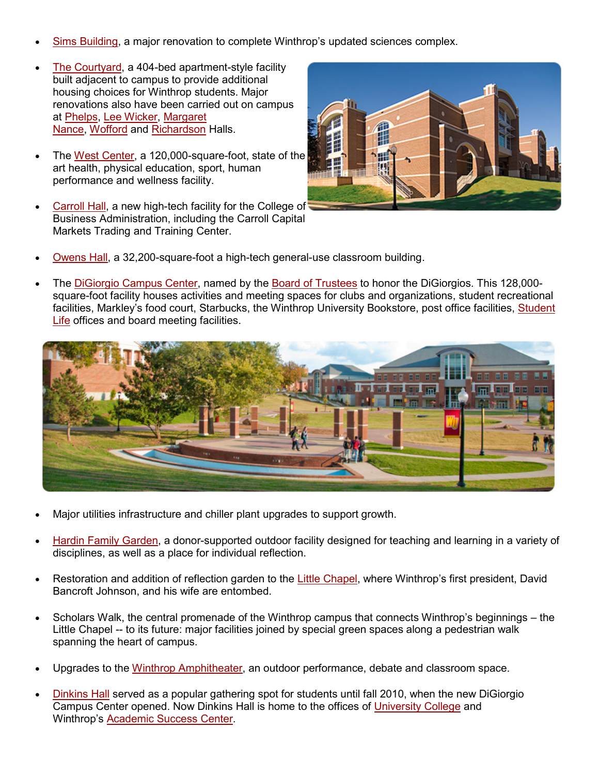- [Sims Building,](https://www.winthrop.edu/virtualtour/buildingtour.aspx?id=3159) a major renovation to complete Winthrop's updated sciences complex.
- [The Courtyard,](https://www.winthrop.edu/virtualtour/buildingtour.aspx?id=3136) a 404-bed apartment-style facility built adjacent to campus to provide additional housing choices for Winthrop students. Major renovations also have been carried out on campus at [Phelps,](https://www.winthrop.edu/virtualtour/buildingtour.aspx?id=3153) [Lee Wicker,](https://www.winthrop.edu/virtualtour/buildingtour.aspx?id=3145) [Margaret](https://www.winthrop.edu/virtualtour/buildingtour.aspx?id=3149)  [Nance,](https://www.winthrop.edu/virtualtour/buildingtour.aspx?id=3149) [Wofford](https://www.winthrop.edu/virtualtour/buildingtour.aspx?id=3168) and [Richardson](https://www.winthrop.edu/virtualtour/buildingtour.aspx?id=3155) Halls.
- The [West Center,](https://www.winthrop.edu/westcenter) a 120,000-square-foot, state of the art health, physical education, sport, human performance and wellness facility.
- [Carroll Hall,](https://www.winthrop.edu/virtualtour/buildingtour.aspx?id=8131) a new high-tech facility for the College of Business Administration, including the Carroll Capital Markets Trading and Training Center.



- [Owens Hall,](https://www.winthrop.edu/virtualtour/buildingtour.aspx?id=3152) a 32,200-square-foot a high-tech general-use classroom building.
- The [DiGiorgio Campus Center,](https://www.winthrop.edu/campuscenter/) named by the [Board of Trustees](https://www.winthrop.edu/trustees) to honor the DiGiorgios. This 128,000 square-foot facility houses activities and meeting spaces for clubs and organizations, student recreational facilities, Markley's food court, Starbucks, the Winthrop University Bookstore, post office facilities, Student [Life](https://www.winthrop.edu/student-life) offices and board meeting facilities.



- Major utilities infrastructure and chiller plant upgrades to support growth.
- [Hardin Family Garden,](https://www.winthrop.edu/virtualtour/arttour.aspx?id=26118) a donor-supported outdoor facility designed for teaching and learning in a variety of disciplines, as well as a place for individual reflection.
- Restoration and addition of reflection garden to the [Little Chapel,](https://www.winthrop.edu/virtualtour/buildingtour.aspx?id=3147) where Winthrop's first president, David Bancroft Johnson, and his wife are entombed.
- Scholars Walk, the central promenade of the Winthrop campus that connects Winthrop's beginnings the Little Chapel -- to its future: major facilities joined by special green spaces along a pedestrian walk spanning the heart of campus.
- Upgrades to the [Winthrop Amphitheater,](https://www.winthrop.edu/virtualtour/landmarktour.aspx?id=4336) an outdoor performance, debate and classroom space.
- [Dinkins Hall](https://www.winthrop.edu/virtualtour/buildingtour.aspx?id=3138) served as a popular gathering spot for students until fall 2010, when the new DiGiorgio Campus Center opened. Now Dinkins Hall is home to the offices of [University College](https://www.winthrop.edu/uc) and Winthrop's [Academic Success Center.](https://www.winthrop.edu/asc)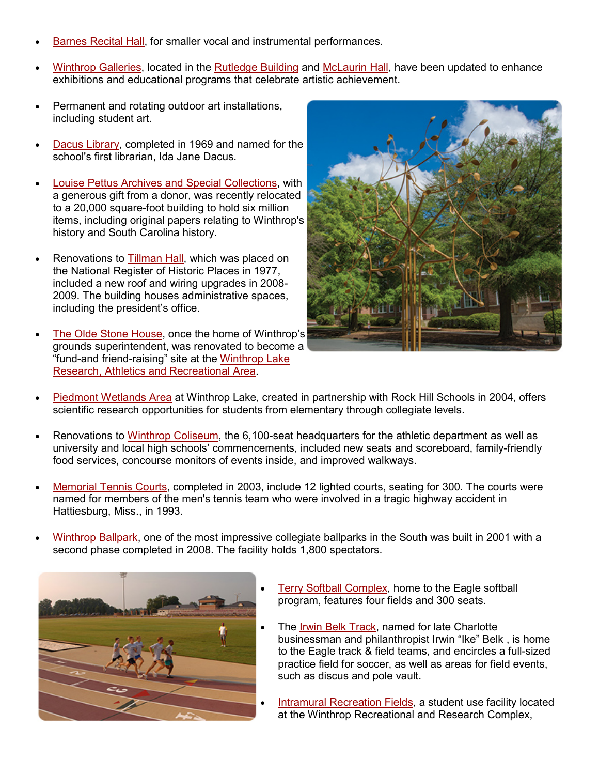- [Barnes Recital Hall,](https://www.winthrop.edu/virtualtour/buildingtour.aspx?id=3135) for smaller vocal and instrumental performances.
- [Winthrop Galleries,](https://www.winthrop.edu/galleries) located in the [Rutledge Building](https://www.winthrop.edu/virtualtour/buildingtour.aspx?id=3157) and [McLaurin Hall,](https://www.winthrop.edu/virtualtour/buildingtour.aspx?id=3151) have been updated to enhance exhibitions and educational programs that celebrate artistic achievement.
- Permanent and rotating outdoor art installations, including student art.
- [Dacus Library,](http://www2.winthrop.edu/dacus) completed in 1969 and named for the school's first librarian, Ida Jane Dacus.
- [Louise Pettus Archives and Special Collections,](http://www2.winthrop.edu/dacus/archives) with a generous gift from a donor, was recently relocated to a 20,000 square-foot building to hold six million items, including original papers relating to Winthrop's history and South Carolina history.
- Renovations to [Tillman Hall,](https://www.winthrop.edu/virtualtour/buildingtour.aspx?id=3165) which was placed on the National Register of Historic Places in 1977, included a new roof and wiring upgrades in 2008- 2009. The building houses administrative spaces, including the president's office.
- [The Olde Stone House,](https://www.winthrop.edu/virtualtour/farmtour.aspx) once the home of Winthrop's grounds superintendent, was renovated to become a "fund-and friend-raising" site at the [Winthrop Lake](http://www.winthrop.edu/virtualtour/farmtour.aspx)  [Research, Athletics and Recreational Area.](http://www.winthrop.edu/virtualtour/farmtour.aspx)



- [Piedmont Wetlands Area](https://www.winthrop.edu/virtualtour/farmtour.aspx?id=5158) at Winthrop Lake, created in partnership with Rock Hill Schools in 2004, offers scientific research opportunities for students from elementary through collegiate levels.
- Renovations to [Winthrop Coliseum,](https://www.winthrop.edu/virtualtour/farmtour.aspx?id=5150) the 6,100-seat headquarters for the athletic department as well as university and local high schools' commencements, included new seats and scoreboard, family-friendly food services, concourse monitors of events inside, and improved walkways.
- [Memorial Tennis Courts,](https://www.winthrop.edu/virtualtour/farmtour.aspx?id=5149) completed in 2003, include 12 lighted courts, seating for 300. The courts were named for members of the men's tennis team who were involved in a tragic highway accident in Hattiesburg, Miss., in 1993.
- [Winthrop Ballpark,](https://www.winthrop.edu/virtualtour/farmtour.aspx?id=5153) one of the most impressive collegiate ballparks in the South was built in 2001 with a second phase completed in 2008. The facility holds 1,800 spectators.



- [Terry Softball Complex,](https://www.winthrop.edu/virtualtour/farmtour.aspx?id=5190) home to the Eagle softball program, features four fields and 300 seats.
- The [Irwin Belk Track,](https://www.winthrop.edu/virtualtour/farmtour.aspx?id=5189) named for late Charlotte businessman and philanthropist Irwin "Ike" Belk , is home to the Eagle track & field teams, and encircles a full-sized practice field for soccer, as well as areas for field events, such as discus and pole vault.
- [Intramural Recreation Fields,](https://www.winthrop.edu/virtualtour/farmtour.aspx?id=5155) a student use facility located at the Winthrop Recreational and Research Complex,